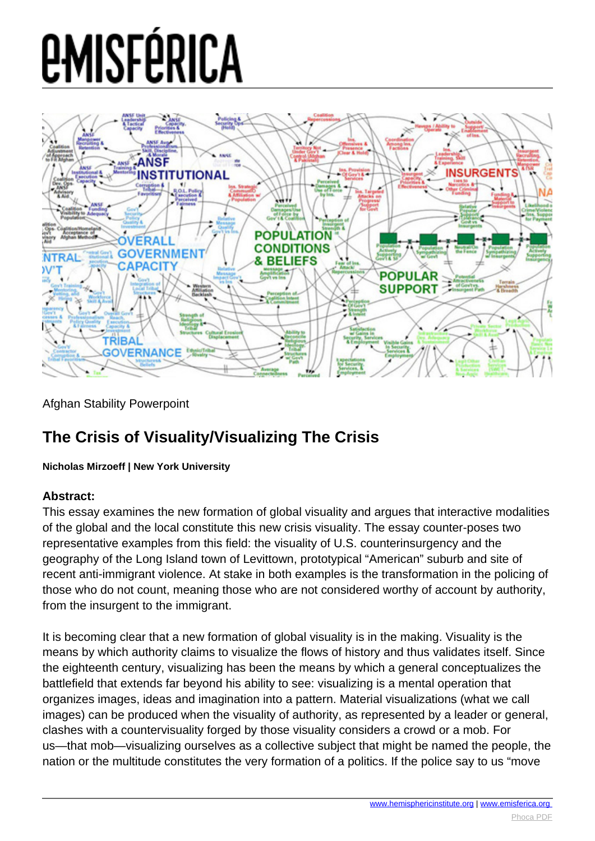

Afghan Stability Powerpoint

#### **The Crisis of Visuality/Visualizing The Crisis**

**Nicholas Mirzoeff | New York University**

#### **Abstract:**

This essay examines the new formation of global visuality and argues that interactive modalities of the global and the local constitute this new crisis visuality. The essay counter-poses two representative examples from this field: the visuality of U.S. counterinsurgency and the geography of the Long Island town of Levittown, prototypical "American" suburb and site of recent anti-immigrant violence. At stake in both examples is the transformation in the policing of those who do not count, meaning those who are not considered worthy of account by authority, from the insurgent to the immigrant.

It is becoming clear that a new formation of global visuality is in the making. Visuality is the means by which authority claims to visualize the flows of history and thus validates itself. Since the eighteenth century, visualizing has been the means by which a general conceptualizes the battlefield that extends far beyond his ability to see: visualizing is a mental operation that organizes images, ideas and imagination into a pattern. Material visualizations (what we call images) can be produced when the visuality of authority, as represented by a leader or general, clashes with a countervisuality forged by those visuality considers a crowd or a mob. For us—that mob—visualizing ourselves as a collective subject that might be named the people, the nation or the multitude constitutes the very formation of a politics. If the police say to us "move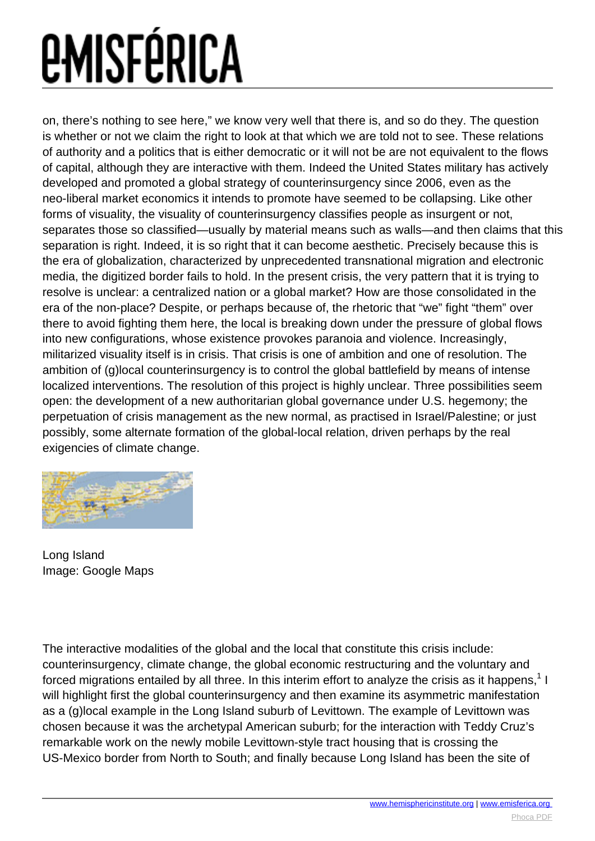on, there's nothing to see here," we know very well that there is, and so do they. The question is whether or not we claim the right to look at that which we are told not to see. These relations of authority and a politics that is either democratic or it will not be are not equivalent to the flows of capital, although they are interactive with them. Indeed the United States military has actively developed and promoted a global strategy of counterinsurgency since 2006, even as the neo-liberal market economics it intends to promote have seemed to be collapsing. Like other forms of visuality, the visuality of counterinsurgency classifies people as insurgent or not, separates those so classified—usually by material means such as walls—and then claims that this separation is right. Indeed, it is so right that it can become aesthetic. Precisely because this is the era of globalization, characterized by unprecedented transnational migration and electronic media, the digitized border fails to hold. In the present crisis, the very pattern that it is trying to resolve is unclear: a centralized nation or a global market? How are those consolidated in the era of the non-place? Despite, or perhaps because of, the rhetoric that "we" fight "them" over there to avoid fighting them here, the local is breaking down under the pressure of global flows into new configurations, whose existence provokes paranoia and violence. Increasingly, militarized visuality itself is in crisis. That crisis is one of ambition and one of resolution. The ambition of (g)local counterinsurgency is to control the global battlefield by means of intense localized interventions. The resolution of this project is highly unclear. Three possibilities seem open: the development of a new authoritarian global governance under U.S. hegemony; the perpetuation of crisis management as the new normal, as practised in Israel/Palestine; or just possibly, some alternate formation of the global-local relation, driven perhaps by the real exigencies of climate change.



Long Island Image: Google Maps

The interactive modalities of the global and the local that constitute this crisis include: counterinsurgency, climate change, the global economic restructuring and the voluntary and forced migrations entailed by all three. In this interim effort to analyze the crisis as it happens, $^{\text{1}}$  I will highlight first the global counterinsurgency and then examine its asymmetric manifestation as a (g)local example in the Long Island suburb of Levittown. The example of Levittown was chosen because it was the archetypal American suburb; for the interaction with Teddy Cruz's remarkable work on the newly mobile Levittown-style tract housing that is crossing the US-Mexico border from North to South; and finally because Long Island has been the site of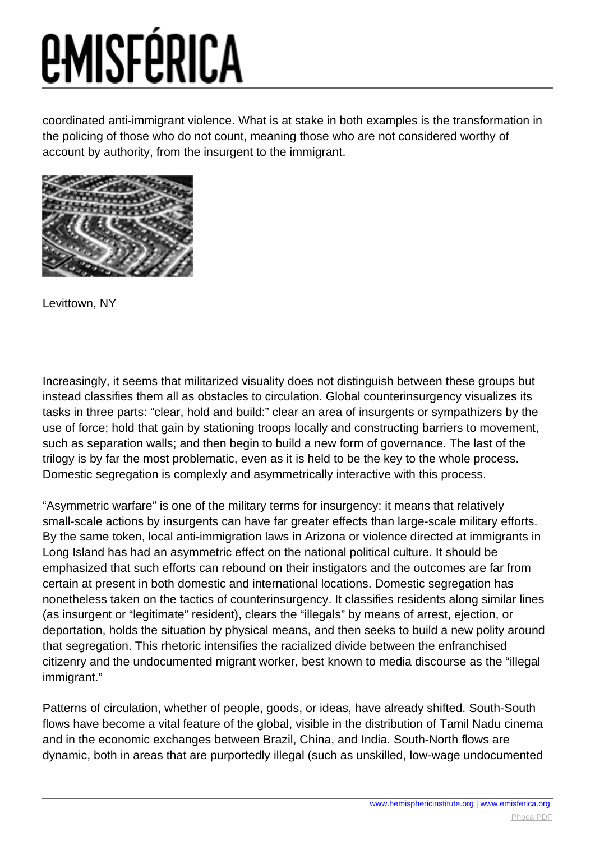coordinated anti-immigrant violence. What is at stake in both examples is the transformation in the policing of those who do not count, meaning those who are not considered worthy of account by authority, from the insurgent to the immigrant.



Levittown, NY

Increasingly, it seems that militarized visuality does not distinguish between these groups but instead classifies them all as obstacles to circulation. Global counterinsurgency visualizes its tasks in three parts: "clear, hold and build:" clear an area of insurgents or sympathizers by the use of force; hold that gain by stationing troops locally and constructing barriers to movement, such as separation walls; and then begin to build a new form of governance. The last of the trilogy is by far the most problematic, even as it is held to be the key to the whole process. Domestic segregation is complexly and asymmetrically interactive with this process.

"Asymmetric warfare" is one of the military terms for insurgency: it means that relatively small-scale actions by insurgents can have far greater effects than large-scale military efforts. By the same token, local anti-immigration laws in Arizona or violence directed at immigrants in Long Island has had an asymmetric effect on the national political culture. It should be emphasized that such efforts can rebound on their instigators and the outcomes are far from certain at present in both domestic and international locations. Domestic segregation has nonetheless taken on the tactics of counterinsurgency. It classifies residents along similar lines (as insurgent or "legitimate" resident), clears the "illegals" by means of arrest, ejection, or deportation, holds the situation by physical means, and then seeks to build a new polity around that segregation. This rhetoric intensifies the racialized divide between the enfranchised citizenry and the undocumented migrant worker, best known to media discourse as the "illegal immigrant."

Patterns of circulation, whether of people, goods, or ideas, have already shifted. South-South flows have become a vital feature of the global, visible in the distribution of Tamil Nadu cinema and in the economic exchanges between Brazil, China, and India. South-North flows are dynamic, both in areas that are purportedly illegal (such as unskilled, low-wage undocumented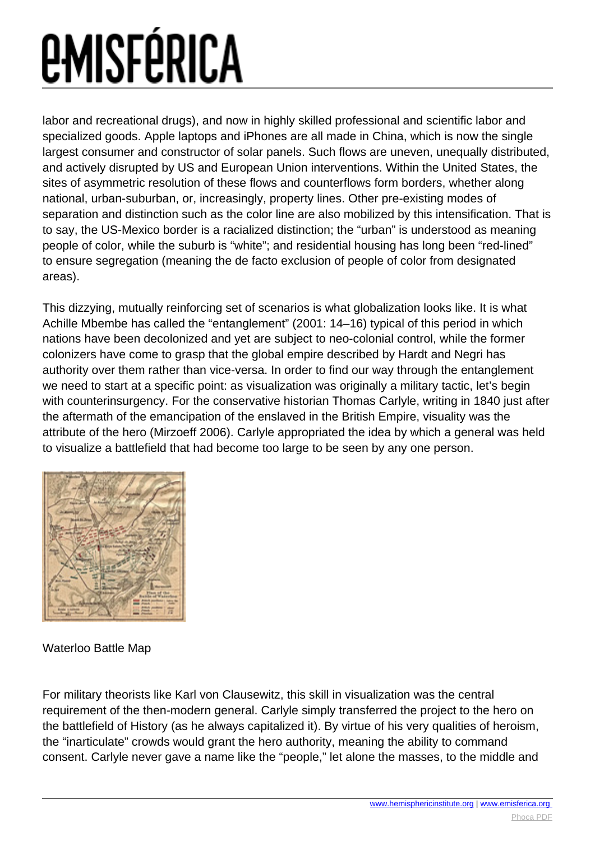labor and recreational drugs), and now in highly skilled professional and scientific labor and specialized goods. Apple laptops and iPhones are all made in China, which is now the single largest consumer and constructor of solar panels. Such flows are uneven, unequally distributed, and actively disrupted by US and European Union interventions. Within the United States, the sites of asymmetric resolution of these flows and counterflows form borders, whether along national, urban-suburban, or, increasingly, property lines. Other pre-existing modes of separation and distinction such as the color line are also mobilized by this intensification. That is to say, the US-Mexico border is a racialized distinction; the "urban" is understood as meaning people of color, while the suburb is "white"; and residential housing has long been "red-lined" to ensure segregation (meaning the de facto exclusion of people of color from designated areas).

This dizzying, mutually reinforcing set of scenarios is what globalization looks like. It is what Achille Mbembe has called the "entanglement" (2001: 14–16) typical of this period in which nations have been decolonized and yet are subject to neo-colonial control, while the former colonizers have come to grasp that the global empire described by Hardt and Negri has authority over them rather than vice-versa. In order to find our way through the entanglement we need to start at a specific point: as visualization was originally a military tactic, let's begin with counterinsurgency. For the conservative historian Thomas Carlyle, writing in 1840 just after the aftermath of the emancipation of the enslaved in the British Empire, visuality was the attribute of the hero (Mirzoeff 2006). Carlyle appropriated the idea by which a general was held to visualize a battlefield that had become too large to be seen by any one person.



#### Waterloo Battle Map

For military theorists like Karl von Clausewitz, this skill in visualization was the central requirement of the then-modern general. Carlyle simply transferred the project to the hero on the battlefield of History (as he always capitalized it). By virtue of his very qualities of heroism, the "inarticulate" crowds would grant the hero authority, meaning the ability to command consent. Carlyle never gave a name like the "people," let alone the masses, to the middle and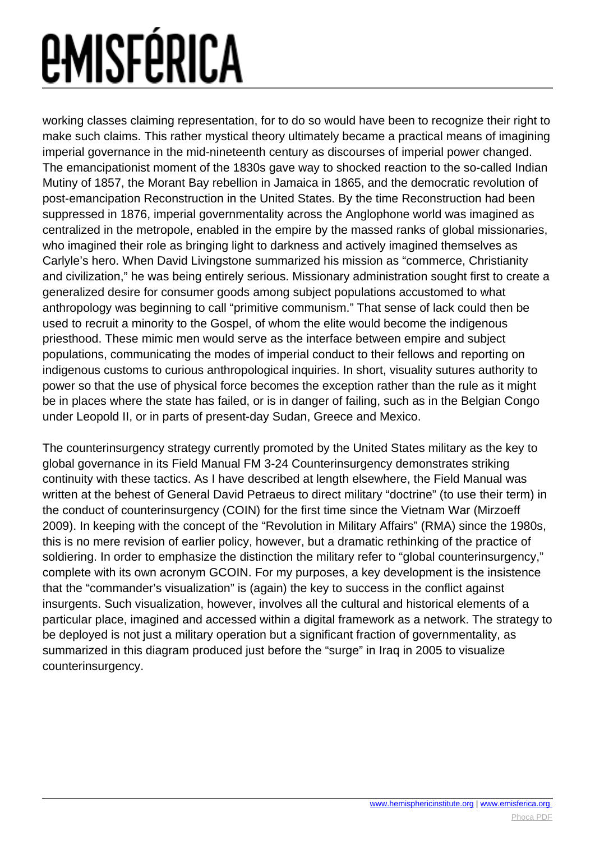working classes claiming representation, for to do so would have been to recognize their right to make such claims. This rather mystical theory ultimately became a practical means of imagining imperial governance in the mid-nineteenth century as discourses of imperial power changed. The emancipationist moment of the 1830s gave way to shocked reaction to the so-called Indian Mutiny of 1857, the Morant Bay rebellion in Jamaica in 1865, and the democratic revolution of post-emancipation Reconstruction in the United States. By the time Reconstruction had been suppressed in 1876, imperial governmentality across the Anglophone world was imagined as centralized in the metropole, enabled in the empire by the massed ranks of global missionaries, who imagined their role as bringing light to darkness and actively imagined themselves as Carlyle's hero. When David Livingstone summarized his mission as "commerce, Christianity and civilization," he was being entirely serious. Missionary administration sought first to create a generalized desire for consumer goods among subject populations accustomed to what anthropology was beginning to call "primitive communism." That sense of lack could then be used to recruit a minority to the Gospel, of whom the elite would become the indigenous priesthood. These mimic men would serve as the interface between empire and subject populations, communicating the modes of imperial conduct to their fellows and reporting on indigenous customs to curious anthropological inquiries. In short, visuality sutures authority to power so that the use of physical force becomes the exception rather than the rule as it might be in places where the state has failed, or is in danger of failing, such as in the Belgian Congo under Leopold II, or in parts of present-day Sudan, Greece and Mexico.

The counterinsurgency strategy currently promoted by the United States military as the key to global governance in its Field Manual FM 3-24 Counterinsurgency demonstrates striking continuity with these tactics. As I have described at length elsewhere, the Field Manual was written at the behest of General David Petraeus to direct military "doctrine" (to use their term) in the conduct of counterinsurgency (COIN) for the first time since the Vietnam War (Mirzoeff 2009). In keeping with the concept of the "Revolution in Military Affairs" (RMA) since the 1980s, this is no mere revision of earlier policy, however, but a dramatic rethinking of the practice of soldiering. In order to emphasize the distinction the military refer to "global counterinsurgency," complete with its own acronym GCOIN. For my purposes, a key development is the insistence that the "commander's visualization" is (again) the key to success in the conflict against insurgents. Such visualization, however, involves all the cultural and historical elements of a particular place, imagined and accessed within a digital framework as a network. The strategy to be deployed is not just a military operation but a significant fraction of governmentality, as summarized in this diagram produced just before the "surge" in Iraq in 2005 to visualize counterinsurgency.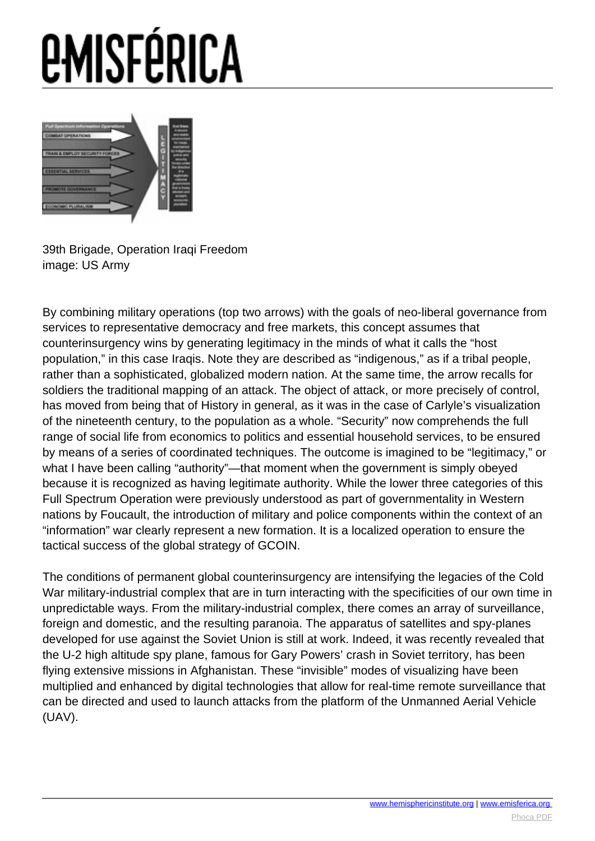

39th Brigade, Operation Iraqi Freedom image: US Army

By combining military operations (top two arrows) with the goals of neo-liberal governance from services to representative democracy and free markets, this concept assumes that counterinsurgency wins by generating legitimacy in the minds of what it calls the "host population," in this case Iraqis. Note they are described as "indigenous," as if a tribal people, rather than a sophisticated, globalized modern nation. At the same time, the arrow recalls for soldiers the traditional mapping of an attack. The object of attack, or more precisely of control, has moved from being that of History in general, as it was in the case of Carlyle's visualization of the nineteenth century, to the population as a whole. "Security" now comprehends the full range of social life from economics to politics and essential household services, to be ensured by means of a series of coordinated techniques. The outcome is imagined to be "legitimacy," or what I have been calling "authority"—that moment when the government is simply obeyed because it is recognized as having legitimate authority. While the lower three categories of this Full Spectrum Operation were previously understood as part of governmentality in Western nations by Foucault, the introduction of military and police components within the context of an "information" war clearly represent a new formation. It is a localized operation to ensure the tactical success of the global strategy of GCOIN.

The conditions of permanent global counterinsurgency are intensifying the legacies of the Cold War military-industrial complex that are in turn interacting with the specificities of our own time in unpredictable ways. From the military-industrial complex, there comes an array of surveillance, foreign and domestic, and the resulting paranoia. The apparatus of satellites and spy-planes developed for use against the Soviet Union is still at work. Indeed, it was recently revealed that the U-2 high altitude spy plane, famous for Gary Powers' crash in Soviet territory, has been flying extensive missions in Afghanistan. These "invisible" modes of visualizing have been multiplied and enhanced by digital technologies that allow for real-time remote surveillance that can be directed and used to launch attacks from the platform of the Unmanned Aerial Vehicle (UAV).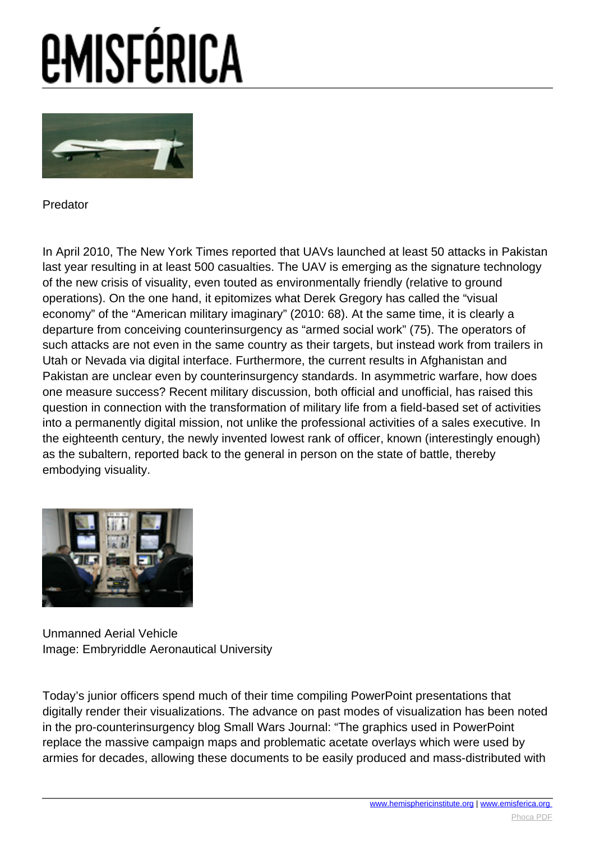

Predator

In April 2010, The New York Times reported that UAVs launched at least 50 attacks in Pakistan last year resulting in at least 500 casualties. The UAV is emerging as the signature technology of the new crisis of visuality, even touted as environmentally friendly (relative to ground operations). On the one hand, it epitomizes what Derek Gregory has called the "visual economy" of the "American military imaginary" (2010: 68). At the same time, it is clearly a departure from conceiving counterinsurgency as "armed social work" (75). The operators of such attacks are not even in the same country as their targets, but instead work from trailers in Utah or Nevada via digital interface. Furthermore, the current results in Afghanistan and Pakistan are unclear even by counterinsurgency standards. In asymmetric warfare, how does one measure success? Recent military discussion, both official and unofficial, has raised this question in connection with the transformation of military life from a field-based set of activities into a permanently digital mission, not unlike the professional activities of a sales executive. In the eighteenth century, the newly invented lowest rank of officer, known (interestingly enough) as the subaltern, reported back to the general in person on the state of battle, thereby embodying visuality.



Unmanned Aerial Vehicle Image: Embryriddle Aeronautical University

Today's junior officers spend much of their time compiling PowerPoint presentations that digitally render their visualizations. The advance on past modes of visualization has been noted in the pro-counterinsurgency blog Small Wars Journal: "The graphics used in PowerPoint replace the massive campaign maps and problematic acetate overlays which were used by armies for decades, allowing these documents to be easily produced and mass-distributed with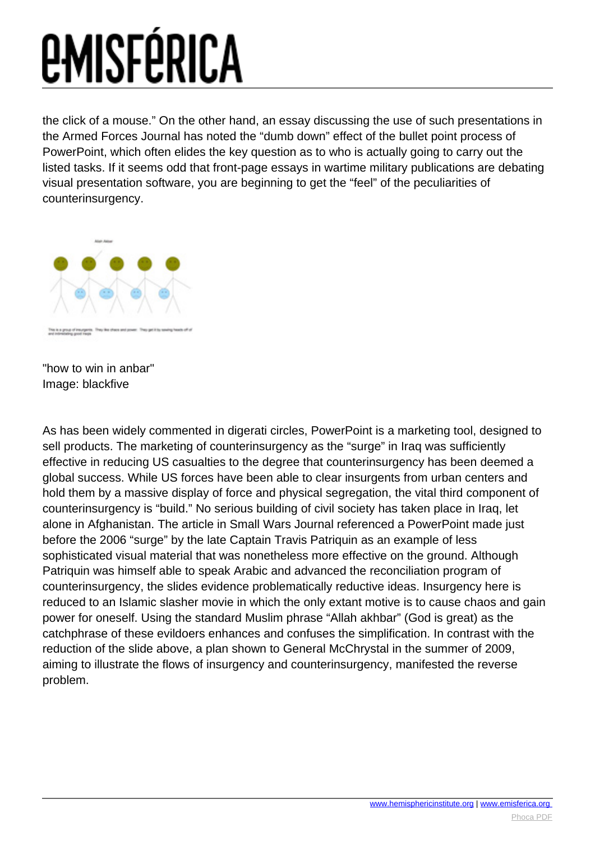the click of a mouse." On the other hand, an essay discussing the use of such presentations in the Armed Forces Journal has noted the "dumb down" effect of the bullet point process of PowerPoint, which often elides the key question as to who is actually going to carry out the listed tasks. If it seems odd that front-page essays in wartime military publications are debating visual presentation software, you are beginning to get the "feel" of the peculiarities of counterinsurgency.



"how to win in anbar" Image: blackfive

As has been widely commented in digerati circles, PowerPoint is a marketing tool, designed to sell products. The marketing of counterinsurgency as the "surge" in Iraq was sufficiently effective in reducing US casualties to the degree that counterinsurgency has been deemed a global success. While US forces have been able to clear insurgents from urban centers and hold them by a massive display of force and physical segregation, the vital third component of counterinsurgency is "build." No serious building of civil society has taken place in Iraq, let alone in Afghanistan. The article in Small Wars Journal referenced a PowerPoint made just before the 2006 "surge" by the late Captain Travis Patriquin as an example of less sophisticated visual material that was nonetheless more effective on the ground. Although Patriquin was himself able to speak Arabic and advanced the reconciliation program of counterinsurgency, the slides evidence problematically reductive ideas. Insurgency here is reduced to an Islamic slasher movie in which the only extant motive is to cause chaos and gain power for oneself. Using the standard Muslim phrase "Allah akhbar" (God is great) as the catchphrase of these evildoers enhances and confuses the simplification. In contrast with the reduction of the slide above, a plan shown to General McChrystal in the summer of 2009, aiming to illustrate the flows of insurgency and counterinsurgency, manifested the reverse problem.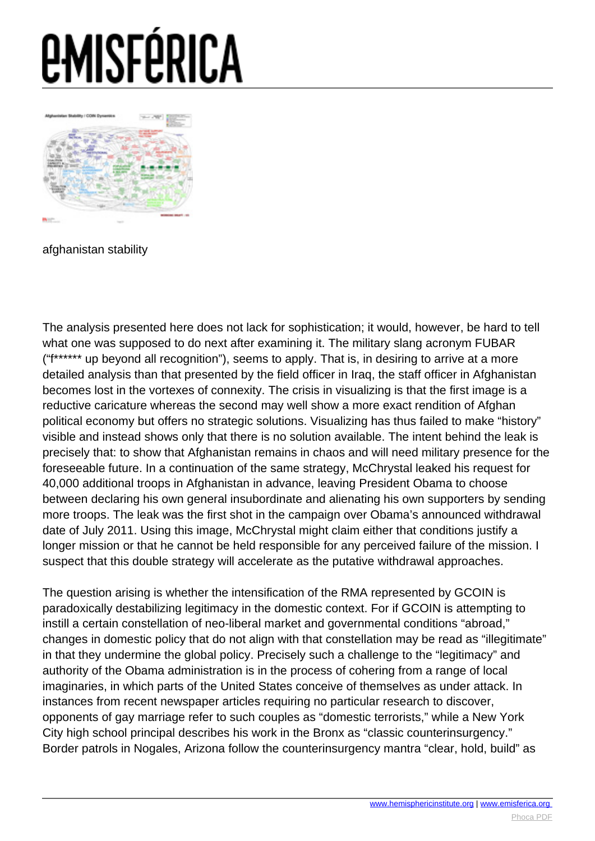

afghanistan stability

The analysis presented here does not lack for sophistication; it would, however, be hard to tell what one was supposed to do next after examining it. The military slang acronym FUBAR ("f\*\*\*\*\*\* up beyond all recognition"), seems to apply. That is, in desiring to arrive at a more detailed analysis than that presented by the field officer in Iraq, the staff officer in Afghanistan becomes lost in the vortexes of connexity. The crisis in visualizing is that the first image is a reductive caricature whereas the second may well show a more exact rendition of Afghan political economy but offers no strategic solutions. Visualizing has thus failed to make "history" visible and instead shows only that there is no solution available. The intent behind the leak is precisely that: to show that Afghanistan remains in chaos and will need military presence for the foreseeable future. In a continuation of the same strategy, McChrystal leaked his request for 40,000 additional troops in Afghanistan in advance, leaving President Obama to choose between declaring his own general insubordinate and alienating his own supporters by sending more troops. The leak was the first shot in the campaign over Obama's announced withdrawal date of July 2011. Using this image, McChrystal might claim either that conditions justify a longer mission or that he cannot be held responsible for any perceived failure of the mission. I suspect that this double strategy will accelerate as the putative withdrawal approaches.

The question arising is whether the intensification of the RMA represented by GCOIN is paradoxically destabilizing legitimacy in the domestic context. For if GCOIN is attempting to instill a certain constellation of neo-liberal market and governmental conditions "abroad," changes in domestic policy that do not align with that constellation may be read as "illegitimate" in that they undermine the global policy. Precisely such a challenge to the "legitimacy" and authority of the Obama administration is in the process of cohering from a range of local imaginaries, in which parts of the United States conceive of themselves as under attack. In instances from recent newspaper articles requiring no particular research to discover, opponents of gay marriage refer to such couples as "domestic terrorists," while a New York City high school principal describes his work in the Bronx as "classic counterinsurgency." Border patrols in Nogales, Arizona follow the counterinsurgency mantra "clear, hold, build" as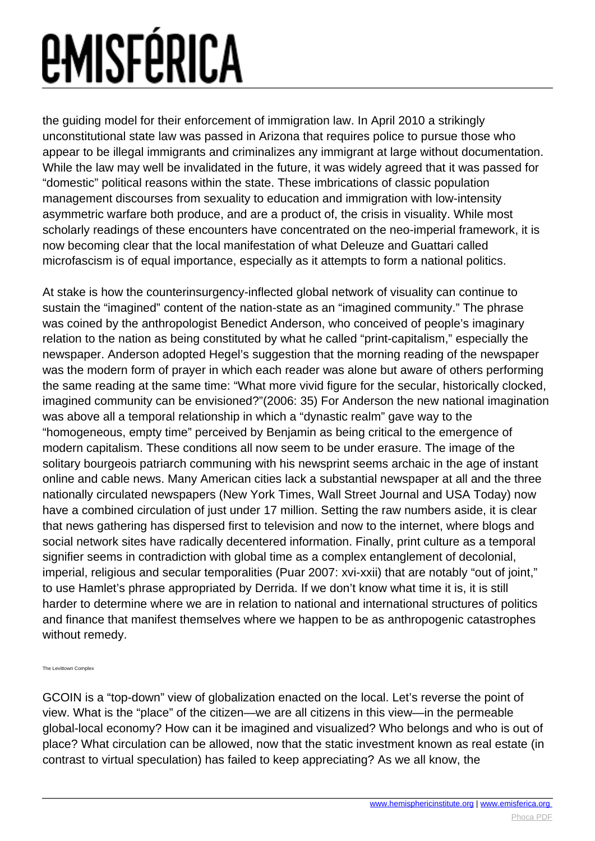the guiding model for their enforcement of immigration law. In April 2010 a strikingly unconstitutional state law was passed in Arizona that requires police to pursue those who appear to be illegal immigrants and criminalizes any immigrant at large without documentation. While the law may well be invalidated in the future, it was widely agreed that it was passed for "domestic" political reasons within the state. These imbrications of classic population management discourses from sexuality to education and immigration with low-intensity asymmetric warfare both produce, and are a product of, the crisis in visuality. While most scholarly readings of these encounters have concentrated on the neo-imperial framework, it is now becoming clear that the local manifestation of what Deleuze and Guattari called microfascism is of equal importance, especially as it attempts to form a national politics.

At stake is how the counterinsurgency-inflected global network of visuality can continue to sustain the "imagined" content of the nation-state as an "imagined community." The phrase was coined by the anthropologist Benedict Anderson, who conceived of people's imaginary relation to the nation as being constituted by what he called "print-capitalism," especially the newspaper. Anderson adopted Hegel's suggestion that the morning reading of the newspaper was the modern form of prayer in which each reader was alone but aware of others performing the same reading at the same time: "What more vivid figure for the secular, historically clocked, imagined community can be envisioned?"(2006: 35) For Anderson the new national imagination was above all a temporal relationship in which a "dynastic realm" gave way to the "homogeneous, empty time" perceived by Benjamin as being critical to the emergence of modern capitalism. These conditions all now seem to be under erasure. The image of the solitary bourgeois patriarch communing with his newsprint seems archaic in the age of instant online and cable news. Many American cities lack a substantial newspaper at all and the three nationally circulated newspapers (New York Times, Wall Street Journal and USA Today) now have a combined circulation of just under 17 million. Setting the raw numbers aside, it is clear that news gathering has dispersed first to television and now to the internet, where blogs and social network sites have radically decentered information. Finally, print culture as a temporal signifier seems in contradiction with global time as a complex entanglement of decolonial, imperial, religious and secular temporalities (Puar 2007: xvi-xxii) that are notably "out of joint," to use Hamlet's phrase appropriated by Derrida. If we don't know what time it is, it is still harder to determine where we are in relation to national and international structures of politics and finance that manifest themselves where we happen to be as anthropogenic catastrophes without remedy.

The Levittown Complex

GCOIN is a "top-down" view of globalization enacted on the local. Let's reverse the point of view. What is the "place" of the citizen—we are all citizens in this view—in the permeable global-local economy? How can it be imagined and visualized? Who belongs and who is out of place? What circulation can be allowed, now that the static investment known as real estate (in contrast to virtual speculation) has failed to keep appreciating? As we all know, the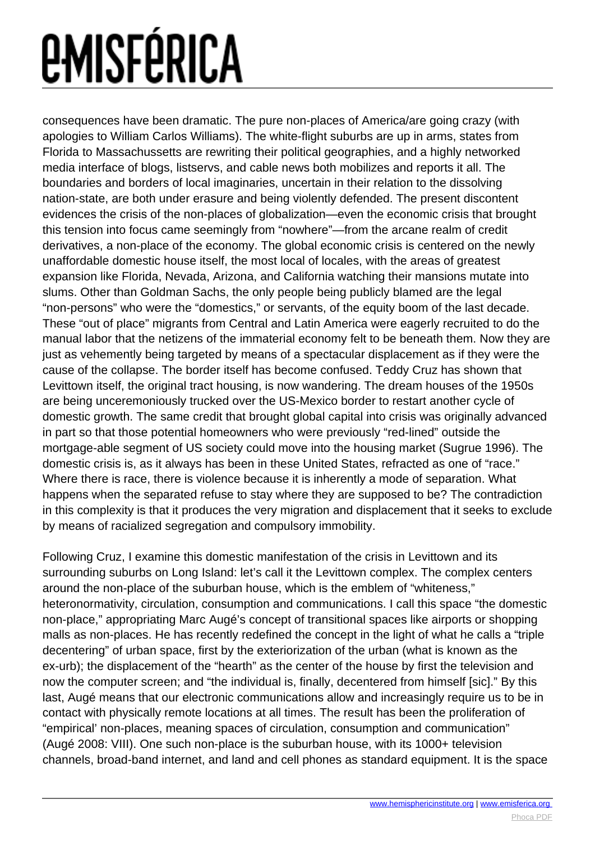consequences have been dramatic. The pure non-places of America/are going crazy (with apologies to William Carlos Williams). The white-flight suburbs are up in arms, states from Florida to Massachussetts are rewriting their political geographies, and a highly networked media interface of blogs, listservs, and cable news both mobilizes and reports it all. The boundaries and borders of local imaginaries, uncertain in their relation to the dissolving nation-state, are both under erasure and being violently defended. The present discontent evidences the crisis of the non-places of globalization—even the economic crisis that brought this tension into focus came seemingly from "nowhere"—from the arcane realm of credit derivatives, a non-place of the economy. The global economic crisis is centered on the newly unaffordable domestic house itself, the most local of locales, with the areas of greatest expansion like Florida, Nevada, Arizona, and California watching their mansions mutate into slums. Other than Goldman Sachs, the only people being publicly blamed are the legal "non-persons" who were the "domestics," or servants, of the equity boom of the last decade. These "out of place" migrants from Central and Latin America were eagerly recruited to do the manual labor that the netizens of the immaterial economy felt to be beneath them. Now they are just as vehemently being targeted by means of a spectacular displacement as if they were the cause of the collapse. The border itself has become confused. Teddy Cruz has shown that Levittown itself, the original tract housing, is now wandering. The dream houses of the 1950s are being unceremoniously trucked over the US-Mexico border to restart another cycle of domestic growth. The same credit that brought global capital into crisis was originally advanced in part so that those potential homeowners who were previously "red-lined" outside the mortgage-able segment of US society could move into the housing market (Sugrue 1996). The domestic crisis is, as it always has been in these United States, refracted as one of "race." Where there is race, there is violence because it is inherently a mode of separation. What happens when the separated refuse to stay where they are supposed to be? The contradiction in this complexity is that it produces the very migration and displacement that it seeks to exclude by means of racialized segregation and compulsory immobility.

Following Cruz, I examine this domestic manifestation of the crisis in Levittown and its surrounding suburbs on Long Island: let's call it the Levittown complex. The complex centers around the non-place of the suburban house, which is the emblem of "whiteness," heteronormativity, circulation, consumption and communications. I call this space "the domestic non-place," appropriating Marc Augé's concept of transitional spaces like airports or shopping malls as non-places. He has recently redefined the concept in the light of what he calls a "triple decentering" of urban space, first by the exteriorization of the urban (what is known as the ex-urb); the displacement of the "hearth" as the center of the house by first the television and now the computer screen; and "the individual is, finally, decentered from himself [sic]." By this last, Augé means that our electronic communications allow and increasingly require us to be in contact with physically remote locations at all times. The result has been the proliferation of "empirical' non-places, meaning spaces of circulation, consumption and communication" (Augé 2008: VIII). One such non-place is the suburban house, with its 1000+ television channels, broad-band internet, and land and cell phones as standard equipment. It is the space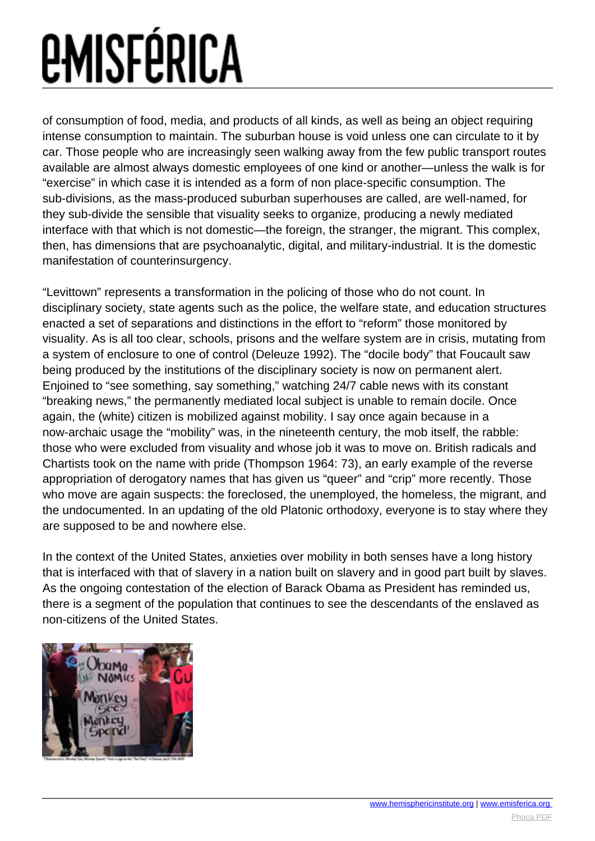of consumption of food, media, and products of all kinds, as well as being an object requiring intense consumption to maintain. The suburban house is void unless one can circulate to it by car. Those people who are increasingly seen walking away from the few public transport routes available are almost always domestic employees of one kind or another—unless the walk is for "exercise" in which case it is intended as a form of non place-specific consumption. The sub-divisions, as the mass-produced suburban superhouses are called, are well-named, for they sub-divide the sensible that visuality seeks to organize, producing a newly mediated interface with that which is not domestic—the foreign, the stranger, the migrant. This complex, then, has dimensions that are psychoanalytic, digital, and military-industrial. It is the domestic manifestation of counterinsurgency.

"Levittown" represents a transformation in the policing of those who do not count. In disciplinary society, state agents such as the police, the welfare state, and education structures enacted a set of separations and distinctions in the effort to "reform" those monitored by visuality. As is all too clear, schools, prisons and the welfare system are in crisis, mutating from a system of enclosure to one of control (Deleuze 1992). The "docile body" that Foucault saw being produced by the institutions of the disciplinary society is now on permanent alert. Enjoined to "see something, say something," watching 24/7 cable news with its constant "breaking news," the permanently mediated local subject is unable to remain docile. Once again, the (white) citizen is mobilized against mobility. I say once again because in a now-archaic usage the "mobility" was, in the nineteenth century, the mob itself, the rabble: those who were excluded from visuality and whose job it was to move on. British radicals and Chartists took on the name with pride (Thompson 1964: 73), an early example of the reverse appropriation of derogatory names that has given us "queer" and "crip" more recently. Those who move are again suspects: the foreclosed, the unemployed, the homeless, the migrant, and the undocumented. In an updating of the old Platonic orthodoxy, everyone is to stay where they are supposed to be and nowhere else.

In the context of the United States, anxieties over mobility in both senses have a long history that is interfaced with that of slavery in a nation built on slavery and in good part built by slaves. As the ongoing contestation of the election of Barack Obama as President has reminded us, there is a segment of the population that continues to see the descendants of the enslaved as non-citizens of the United States.

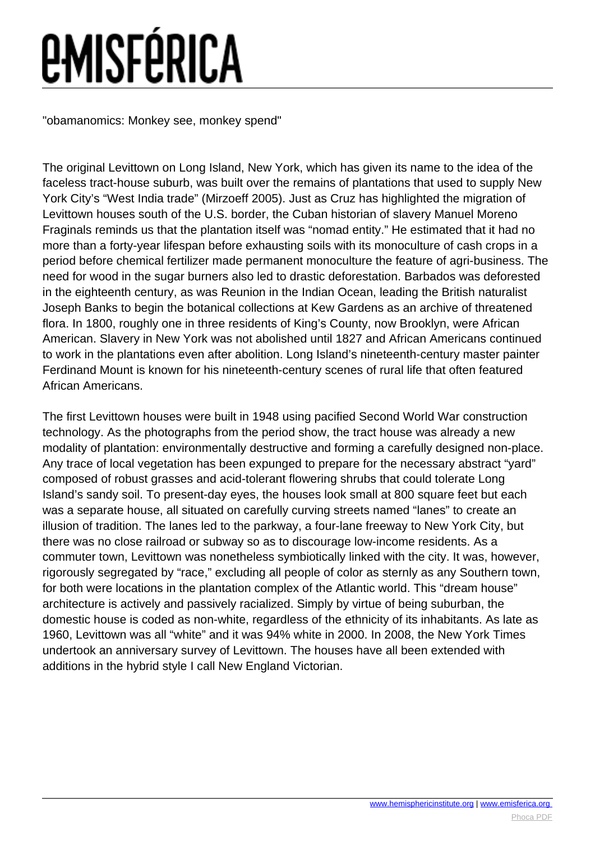"obamanomics: Monkey see, monkey spend"

The original Levittown on Long Island, New York, which has given its name to the idea of the faceless tract-house suburb, was built over the remains of plantations that used to supply New York City's "West India trade" (Mirzoeff 2005). Just as Cruz has highlighted the migration of Levittown houses south of the U.S. border, the Cuban historian of slavery Manuel Moreno Fraginals reminds us that the plantation itself was "nomad entity." He estimated that it had no more than a forty-year lifespan before exhausting soils with its monoculture of cash crops in a period before chemical fertilizer made permanent monoculture the feature of agri-business. The need for wood in the sugar burners also led to drastic deforestation. Barbados was deforested in the eighteenth century, as was Reunion in the Indian Ocean, leading the British naturalist Joseph Banks to begin the botanical collections at Kew Gardens as an archive of threatened flora. In 1800, roughly one in three residents of King's County, now Brooklyn, were African American. Slavery in New York was not abolished until 1827 and African Americans continued to work in the plantations even after abolition. Long Island's nineteenth-century master painter Ferdinand Mount is known for his nineteenth-century scenes of rural life that often featured African Americans.

The first Levittown houses were built in 1948 using pacified Second World War construction technology. As the photographs from the period show, the tract house was already a new modality of plantation: environmentally destructive and forming a carefully designed non-place. Any trace of local vegetation has been expunged to prepare for the necessary abstract "yard" composed of robust grasses and acid-tolerant flowering shrubs that could tolerate Long Island's sandy soil. To present-day eyes, the houses look small at 800 square feet but each was a separate house, all situated on carefully curving streets named "lanes" to create an illusion of tradition. The lanes led to the parkway, a four-lane freeway to New York City, but there was no close railroad or subway so as to discourage low-income residents. As a commuter town, Levittown was nonetheless symbiotically linked with the city. It was, however, rigorously segregated by "race," excluding all people of color as sternly as any Southern town, for both were locations in the plantation complex of the Atlantic world. This "dream house" architecture is actively and passively racialized. Simply by virtue of being suburban, the domestic house is coded as non-white, regardless of the ethnicity of its inhabitants. As late as 1960, Levittown was all "white" and it was 94% white in 2000. In 2008, the New York Times undertook an anniversary survey of Levittown. The houses have all been extended with additions in the hybrid style I call New England Victorian.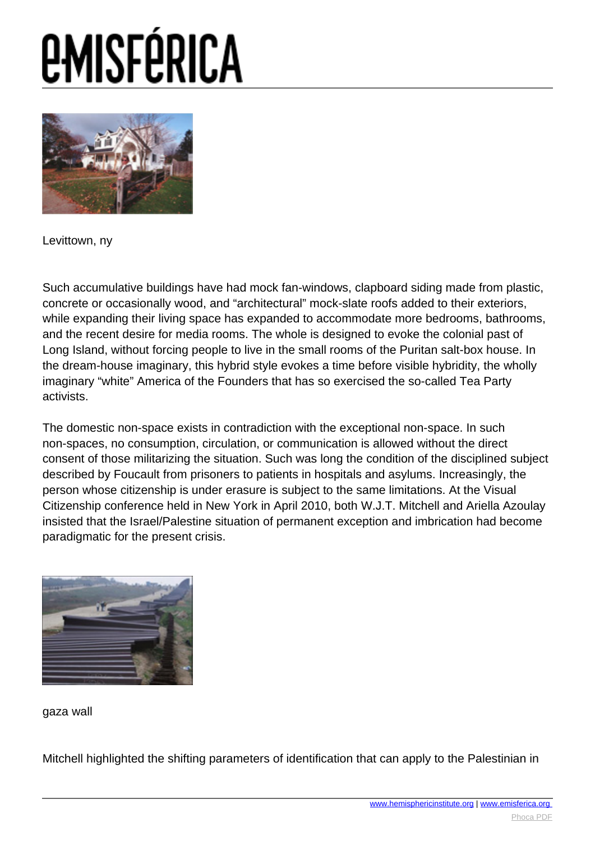

Levittown, ny

Such accumulative buildings have had mock fan-windows, clapboard siding made from plastic, concrete or occasionally wood, and "architectural" mock-slate roofs added to their exteriors, while expanding their living space has expanded to accommodate more bedrooms, bathrooms, and the recent desire for media rooms. The whole is designed to evoke the colonial past of Long Island, without forcing people to live in the small rooms of the Puritan salt-box house. In the dream-house imaginary, this hybrid style evokes a time before visible hybridity, the wholly imaginary "white" America of the Founders that has so exercised the so-called Tea Party activists.

The domestic non-space exists in contradiction with the exceptional non-space. In such non-spaces, no consumption, circulation, or communication is allowed without the direct consent of those militarizing the situation. Such was long the condition of the disciplined subject described by Foucault from prisoners to patients in hospitals and asylums. Increasingly, the person whose citizenship is under erasure is subject to the same limitations. At the Visual Citizenship conference held in New York in April 2010, both W.J.T. Mitchell and Ariella Azoulay insisted that the Israel/Palestine situation of permanent exception and imbrication had become paradigmatic for the present crisis.



gaza wall

Mitchell highlighted the shifting parameters of identification that can apply to the Palestinian in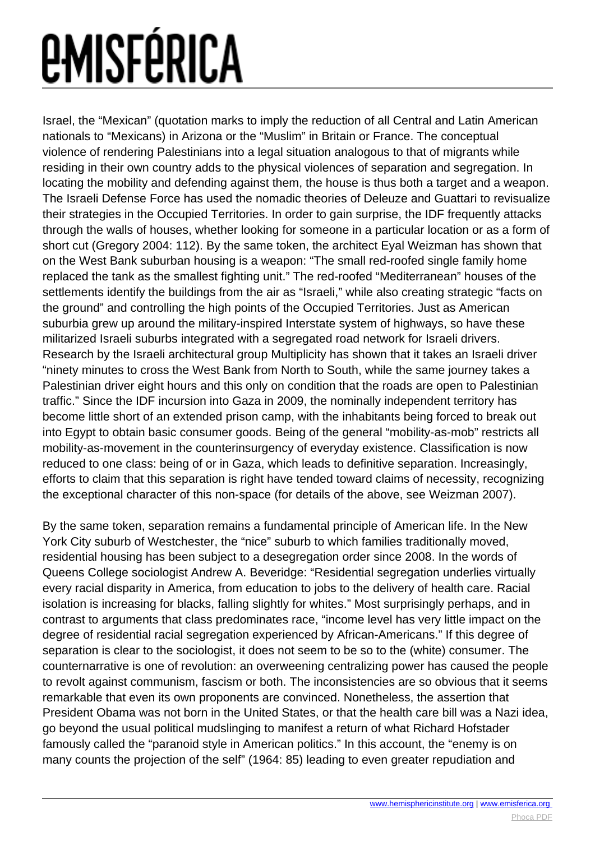Israel, the "Mexican" (quotation marks to imply the reduction of all Central and Latin American nationals to "Mexicans) in Arizona or the "Muslim" in Britain or France. The conceptual violence of rendering Palestinians into a legal situation analogous to that of migrants while residing in their own country adds to the physical violences of separation and segregation. In locating the mobility and defending against them, the house is thus both a target and a weapon. The Israeli Defense Force has used the nomadic theories of Deleuze and Guattari to revisualize their strategies in the Occupied Territories. In order to gain surprise, the IDF frequently attacks through the walls of houses, whether looking for someone in a particular location or as a form of short cut (Gregory 2004: 112). By the same token, the architect Eyal Weizman has shown that on the West Bank suburban housing is a weapon: "The small red-roofed single family home replaced the tank as the smallest fighting unit." The red-roofed "Mediterranean" houses of the settlements identify the buildings from the air as "Israeli," while also creating strategic "facts on the ground" and controlling the high points of the Occupied Territories. Just as American suburbia grew up around the military-inspired Interstate system of highways, so have these militarized Israeli suburbs integrated with a segregated road network for Israeli drivers. Research by the Israeli architectural group Multiplicity has shown that it takes an Israeli driver "ninety minutes to cross the West Bank from North to South, while the same journey takes a Palestinian driver eight hours and this only on condition that the roads are open to Palestinian traffic." Since the IDF incursion into Gaza in 2009, the nominally independent territory has become little short of an extended prison camp, with the inhabitants being forced to break out into Egypt to obtain basic consumer goods. Being of the general "mobility-as-mob" restricts all mobility-as-movement in the counterinsurgency of everyday existence. Classification is now reduced to one class: being of or in Gaza, which leads to definitive separation. Increasingly, efforts to claim that this separation is right have tended toward claims of necessity, recognizing the exceptional character of this non-space (for details of the above, see Weizman 2007).

By the same token, separation remains a fundamental principle of American life. In the New York City suburb of Westchester, the "nice" suburb to which families traditionally moved, residential housing has been subject to a desegregation order since 2008. In the words of Queens College sociologist Andrew A. Beveridge: "Residential segregation underlies virtually every racial disparity in America, from education to jobs to the delivery of health care. Racial isolation is increasing for blacks, falling slightly for whites." Most surprisingly perhaps, and in contrast to arguments that class predominates race, "income level has very little impact on the degree of residential racial segregation experienced by African-Americans." If this degree of separation is clear to the sociologist, it does not seem to be so to the (white) consumer. The counternarrative is one of revolution: an overweening centralizing power has caused the people to revolt against communism, fascism or both. The inconsistencies are so obvious that it seems remarkable that even its own proponents are convinced. Nonetheless, the assertion that President Obama was not born in the United States, or that the health care bill was a Nazi idea, go beyond the usual political mudslinging to manifest a return of what Richard Hofstader famously called the "paranoid style in American politics." In this account, the "enemy is on many counts the projection of the self" (1964: 85) leading to even greater repudiation and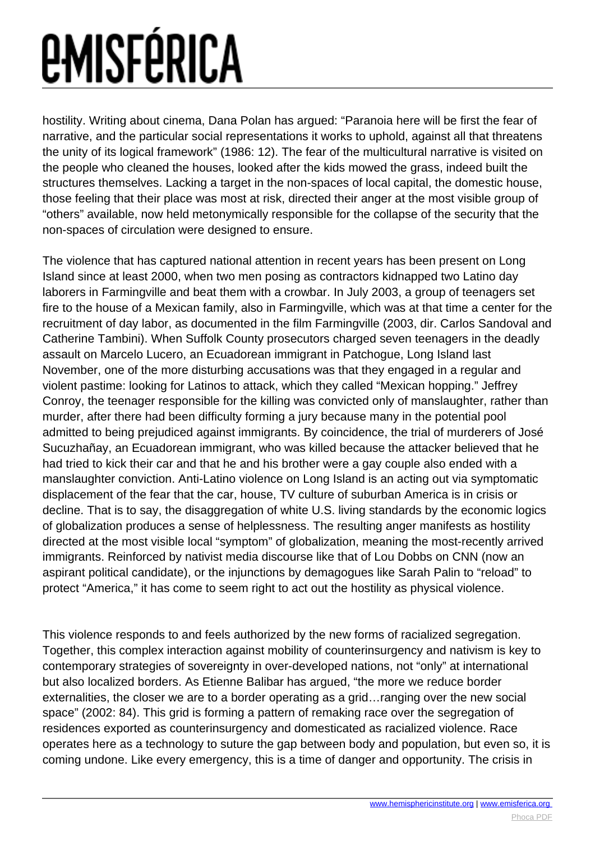hostility. Writing about cinema, Dana Polan has argued: "Paranoia here will be first the fear of narrative, and the particular social representations it works to uphold, against all that threatens the unity of its logical framework" (1986: 12). The fear of the multicultural narrative is visited on the people who cleaned the houses, looked after the kids mowed the grass, indeed built the structures themselves. Lacking a target in the non-spaces of local capital, the domestic house, those feeling that their place was most at risk, directed their anger at the most visible group of "others" available, now held metonymically responsible for the collapse of the security that the non-spaces of circulation were designed to ensure.

The violence that has captured national attention in recent years has been present on Long Island since at least 2000, when two men posing as contractors kidnapped two Latino day laborers in Farmingville and beat them with a crowbar. In July 2003, a group of teenagers set fire to the house of a Mexican family, also in Farmingville, which was at that time a center for the recruitment of day labor, as documented in the film Farmingville (2003, dir. Carlos Sandoval and Catherine Tambini). When Suffolk County prosecutors charged seven teenagers in the deadly assault on Marcelo Lucero, an Ecuadorean immigrant in Patchogue, Long Island last November, one of the more disturbing accusations was that they engaged in a regular and violent pastime: looking for Latinos to attack, which they called "Mexican hopping." Jeffrey Conroy, the teenager responsible for the killing was convicted only of manslaughter, rather than murder, after there had been difficulty forming a jury because many in the potential pool admitted to being prejudiced against immigrants. By coincidence, the trial of murderers of José Sucuzhañay, an Ecuadorean immigrant, who was killed because the attacker believed that he had tried to kick their car and that he and his brother were a gay couple also ended with a manslaughter conviction. Anti-Latino violence on Long Island is an acting out via symptomatic displacement of the fear that the car, house, TV culture of suburban America is in crisis or decline. That is to say, the disaggregation of white U.S. living standards by the economic logics of globalization produces a sense of helplessness. The resulting anger manifests as hostility directed at the most visible local "symptom" of globalization, meaning the most-recently arrived immigrants. Reinforced by nativist media discourse like that of Lou Dobbs on CNN (now an aspirant political candidate), or the injunctions by demagogues like Sarah Palin to "reload" to protect "America," it has come to seem right to act out the hostility as physical violence.

This violence responds to and feels authorized by the new forms of racialized segregation. Together, this complex interaction against mobility of counterinsurgency and nativism is key to contemporary strategies of sovereignty in over-developed nations, not "only" at international but also localized borders. As Etienne Balibar has argued, "the more we reduce border externalities, the closer we are to a border operating as a grid…ranging over the new social space" (2002: 84). This grid is forming a pattern of remaking race over the segregation of residences exported as counterinsurgency and domesticated as racialized violence. Race operates here as a technology to suture the gap between body and population, but even so, it is coming undone. Like every emergency, this is a time of danger and opportunity. The crisis in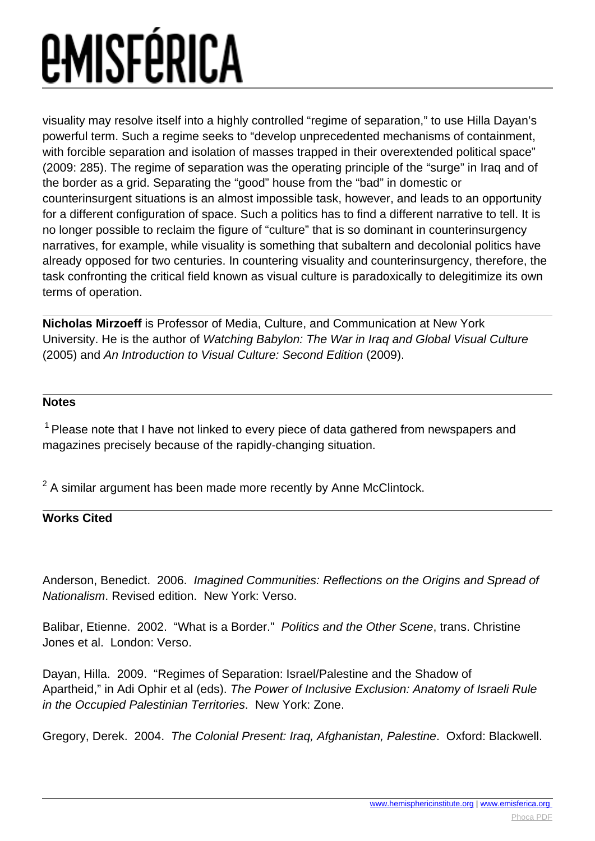visuality may resolve itself into a highly controlled "regime of separation," to use Hilla Dayan's powerful term. Such a regime seeks to "develop unprecedented mechanisms of containment, with forcible separation and isolation of masses trapped in their overextended political space" (2009: 285). The regime of separation was the operating principle of the "surge" in Iraq and of the border as a grid. Separating the "good" house from the "bad" in domestic or counterinsurgent situations is an almost impossible task, however, and leads to an opportunity for a different configuration of space. Such a politics has to find a different narrative to tell. It is no longer possible to reclaim the figure of "culture" that is so dominant in counterinsurgency narratives, for example, while visuality is something that subaltern and decolonial politics have already opposed for two centuries. In countering visuality and counterinsurgency, therefore, the task confronting the critical field known as visual culture is paradoxically to delegitimize its own terms of operation.

**Nicholas Mirzoeff** is Professor of Media, Culture, and Communication at New York University. He is the author of Watching Babylon: The War in Iraq and Global Visual Culture (2005) and An Introduction to Visual Culture: Second Edition (2009).

#### **Notes**

 $1$  Please note that I have not linked to every piece of data gathered from newspapers and magazines precisely because of the rapidly-changing situation.

 $2$  A similar argument has been made more recently by Anne McClintock.

#### **Works Cited**

Anderson, Benedict. 2006. Imagined Communities: Reflections on the Origins and Spread of Nationalism. Revised edition. New York: Verso.

Balibar, Etienne. 2002. "What is a Border." Politics and the Other Scene, trans. Christine Jones et al. London: Verso.

Dayan, Hilla. 2009. "Regimes of Separation: Israel/Palestine and the Shadow of Apartheid," in Adi Ophir et al (eds). The Power of Inclusive Exclusion: Anatomy of Israeli Rule in the Occupied Palestinian Territories. New York: Zone.

Gregory, Derek. 2004. The Colonial Present: Iraq, Afghanistan, Palestine. Oxford: Blackwell.